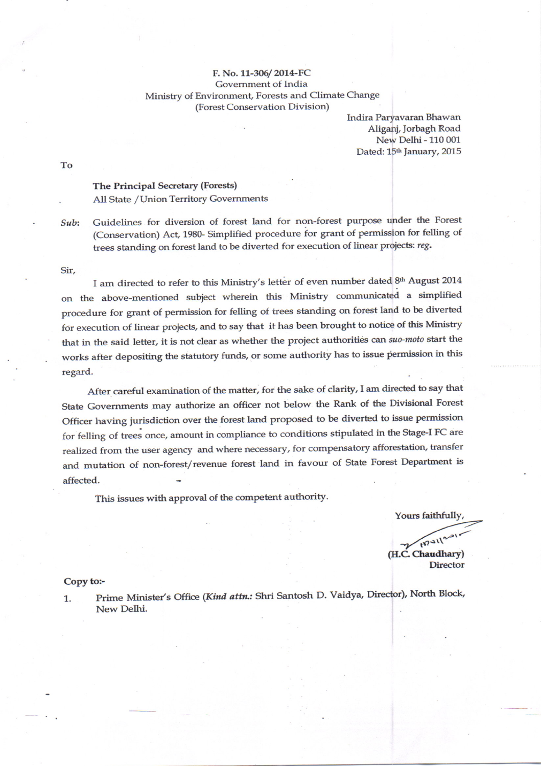## F. No. 11-306/2014-FC Government of India Ministry of Environment, Forests and Climate Change (Forest Conservation Division)

Indira Paryavaran Bhawan Aliganj, Jorbagh Road New Delhi - 110 001 Dated: 15th January, 2015

To

## The Principal Secretary (Forests) All State /Union Territory Governments

Sub: Guidelines for diversion of forest land for non-forest purpose under the Forest (Conservation) Act, 198G Simplified procedure for grant of permission for felling of trees standing on forest land to be diverted for execution of linear projects: reg.

## Sir,

I am directed to refer to this Ministry's letter of even number dated 8th August 2014 on the above-mentioned subject wherein this Ministry communicated a simplified procedure for grant of permission for felling of trees standing on forest land to be diverted for execution of linear projects, and to say that it has been brought to notice of this Ministry that in the said letter, it is not clear as whether the project authorities can suo-moto start the works after depositing the statutory funds, or some authority has to issue permission in this regard.

After careful examination of the matter, for the sake of clarity, I am directed to say that state Goverunents may authorize an officer not below the Rank of the Divisional Forest Officer having jurisdiction over the forest land proposed to be diverted to issue permission for felling of trees once, amount in compliance to conditions stipulated in the Stage-I FC are realized from the user agency and where necessary, for compensatory afforestation, transfer and mutation of non-forest/revenue forest land in favour of State Forest Department is affected.

This issues with approval of the competent authority.

Yours faithfully, 1870112 (H.C. Chaudhary)

**Director** 

## Copy to:-

1. Prime Minister's Office (Kind attn.: Shri Santosh D. Vaidya, Director), North Block, New Delhi.